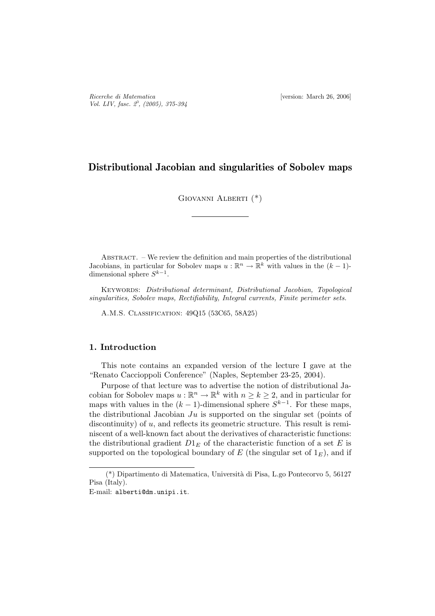# Distributional Jacobian and singularities of Sobolev maps

GIOVANNI ALBERTI (\*)

Abstract. – We review the definition and main properties of the distributional Jacobians, in particular for Sobolev maps  $u : \mathbb{R}^n \to \mathbb{R}^k$  with values in the  $(k-1)$ dimensional sphere  $S^{k-1}$ .

KEYWORDS: Distributional determinant, Distributional Jacobian, Topological singularities, Sobolev maps, Rectifiability, Integral currents, Finite perimeter sets.

A.M.S. Classification: 49Q15 (53C65, 58A25)

## 1. Introduction

This note contains an expanded version of the lecture I gave at the "Renato Caccioppoli Conference" (Naples, September 23-25, 2004).

Purpose of that lecture was to advertise the notion of distributional Jacobian for Sobolev maps  $u : \mathbb{R}^n \to \mathbb{R}^k$  with  $n \geq k \geq 2$ , and in particular for maps with values in the  $(k-1)$ -dimensional sphere  $S^{k-1}$ . For these maps, the distributional Jacobian  $Ju$  is supported on the singular set (points of discontinuity) of u, and reflects its geometric structure. This result is reminiscent of a well-known fact about the derivatives of characteristic functions: the distributional gradient  $D1<sub>E</sub>$  of the characteristic function of a set E is supported on the topological boundary of  $E$  (the singular set of  $1_E$ ), and if

<sup>(\*)</sup> Dipartimento di Matematica, Universit`a di Pisa, L.go Pontecorvo 5, 56127 Pisa (Italy).

E-mail: alberti@dm.unipi.it.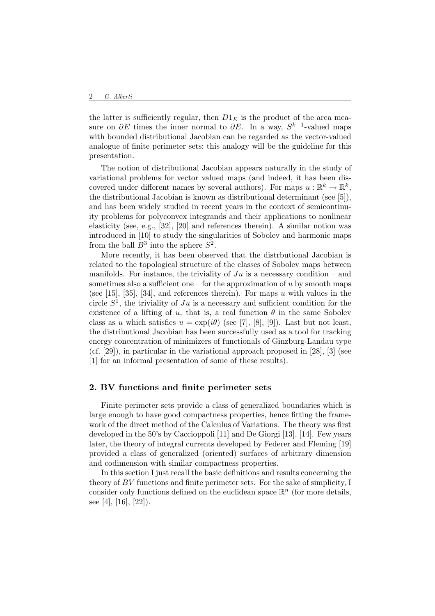the latter is sufficiently regular, then  $D1<sub>E</sub>$  is the product of the area measure on  $\partial E$  times the inner normal to  $\partial E$ . In a way,  $S^{k-1}$ -valued maps with bounded distributional Jacobian can be regarded as the vector-valued analogue of finite perimeter sets; this analogy will be the guideline for this presentation.

The notion of distributional Jacobian appears naturally in the study of variational problems for vector valued maps (and indeed, it has been discovered under different names by several authors). For maps  $u : \mathbb{R}^k \to \mathbb{R}^k$ , the distributional Jacobian is known as distributional determinant (see [5]), and has been widely studied in recent years in the context of semicontinuity problems for polyconvex integrands and their applications to nonlinear elasticity (see, e.g., [32], [20] and references therein). A similar notion was introduced in [10] to study the singularities of Sobolev and harmonic maps from the ball  $B^3$  into the sphere  $S^2$ .

More recently, it has been observed that the distrbutional Jacobian is related to the topological structure of the classes of Sobolev maps between manifolds. For instance, the triviality of  $Ju$  is a necessary condition – and sometimes also a sufficient one – for the approximation of  $u$  by smooth maps (see [15], [35], [34], and references therein). For maps u with values in the circle  $S^1$ , the triviality of  $Ju$  is a necessary and sufficient condition for the existence of a lifting of u, that is, a real function  $\theta$  in the same Sobolev class as u which satisfies  $u = \exp(i\theta)$  (see [7], [8], [9]). Last but not least, the distributional Jacobian has been successfully used as a tool for tracking energy concentration of minimizers of functionals of Ginzburg-Landau type (cf. [29]), in particular in the variational approach proposed in [28], [3] (see [1] for an informal presentation of some of these results).

#### 2. BV functions and finite perimeter sets

Finite perimeter sets provide a class of generalized boundaries which is large enough to have good compactness properties, hence fitting the framework of the direct method of the Calculus of Variations. The theory was first developed in the 50's by Caccioppoli [11] and De Giorgi [13], [14]. Few years later, the theory of integral currents developed by Federer and Fleming [19] provided a class of generalized (oriented) surfaces of arbitrary dimension and codimension with similar compactness properties.

In this section I just recall the basic definitions and results concerning the theory of BV functions and finite perimeter sets. For the sake of simplicity, I consider only functions defined on the euclidean space  $\mathbb{R}^n$  (for more details, see [4], [16], [22]).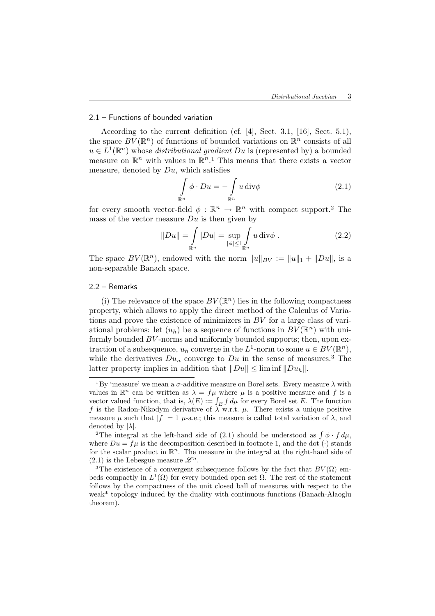## 2.1 – Functions of bounded variation

According to the current definition (cf. [4], Sect. 3.1, [16], Sect. 5.1), the space  $BV(\mathbb{R}^n)$  of functions of bounded variations on  $\mathbb{R}^n$  consists of all  $u \in L^1(\mathbb{R}^n)$  whose *distributional gradient*  $Du$  is (represented by) a bounded measure on  $\mathbb{R}^n$  with values in  $\mathbb{R}^n$ .<sup>1</sup> This means that there exists a vector measure, denoted by  $Du$ , which satisfies

$$
\int_{\mathbb{R}^n} \phi \cdot Du = -\int_{\mathbb{R}^n} u \operatorname{div} \phi \tag{2.1}
$$

for every smooth vector-field  $\phi : \mathbb{R}^n \to \mathbb{R}^n$  with compact support.<sup>2</sup> The mass of the vector measure  $Du$  is then given by

$$
||Du|| = \int_{\mathbb{R}^n} |Du| = \sup_{|\phi| \le 1} \int_{\mathbb{R}^n} u \operatorname{div} \phi . \tag{2.2}
$$

The space  $BV(\mathbb{R}^n)$ , endowed with the norm  $||u||_{BV} := ||u||_1 + ||Du||$ , is a non-separable Banach space.

### 2.2 – Remarks

(i) The relevance of the space  $BV(\mathbb{R}^n)$  lies in the following compactness property, which allows to apply the direct method of the Calculus of Variations and prove the existence of minimizers in BV for a large class of variational problems: let  $(u_h)$  be a sequence of functions in  $BV(\mathbb{R}^n)$  with uniformly bounded BV -norms and uniformly bounded supports; then, upon extraction of a subsequence,  $u_h$  converge in the  $L^1$ -norm to some  $u \in BV(\mathbb{R}^n)$ , while the derivatives  $Du_n$  converge to  $Du$  in the sense of measures.<sup>3</sup> The latter property implies in addition that  $||Du|| \leq \liminf ||Du_h||$ .

<sup>&</sup>lt;sup>1</sup>By 'measure' we mean a  $\sigma$ -additive measure on Borel sets. Every measure  $\lambda$  with values in  $\mathbb{R}^n$  can be written as  $\lambda = f\mu$  where  $\mu$  is a positive measure and f is a vector valued function, that is,  $\lambda(E) := \int_E f d\mu$  for every Borel set E. The function f is the Radon-Nikodym derivative of  $\lambda$  w.r.t.  $\mu$ . There exists a unique positive measure  $\mu$  such that  $|f| = 1$   $\mu$ -a.e.; this measure is called total variation of  $\lambda$ , and denoted by  $|\lambda|$ .

<sup>&</sup>lt;sup>2</sup>The integral at the left-hand side of (2.1) should be understood as  $\int \phi \cdot f d\mu$ , where  $Du = fu$  is the decomposition described in footnote 1, and the dot ( $\cdot$ ) stands for the scalar product in  $\mathbb{R}^n$ . The measure in the integral at the right-hand side of  $(2.1)$  is the Lebesgue measure  $\mathscr{L}^n$ .

<sup>&</sup>lt;sup>3</sup>The existence of a convergent subsequence follows by the fact that  $BV(\Omega)$  embeds compactly in  $L^1(\Omega)$  for every bounded open set  $\Omega$ . The rest of the statement follows by the compactness of the unit closed ball of measures with respect to the weak\* topology induced by the duality with continuous functions (Banach-Alaoglu theorem).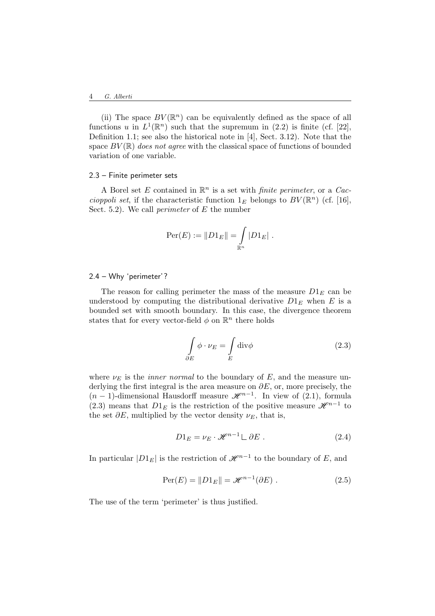(ii) The space  $BV(\mathbb{R}^n)$  can be equivalently defined as the space of all functions u in  $L^1(\mathbb{R}^n)$  such that the supremum in (2.2) is finite (cf. [22], Definition 1.1; see also the historical note in [4], Sect. 3.12). Note that the space  $BV(\mathbb{R})$  does not agree with the classical space of functions of bounded variation of one variable.

#### 2.3 – Finite perimeter sets

A Borel set E contained in  $\mathbb{R}^n$  is a set with *finite perimeter*, or a Caccioppoli set, if the characteristic function  $1_E$  belongs to  $BV(\mathbb{R}^n)$  (cf. [16], Sect. 5.2). We call *perimeter* of  $E$  the number

$$
Per(E) := ||D1_E|| = \int_{\mathbb{R}^n} |D1_E|.
$$

#### 2.4 – Why 'perimeter'?

The reason for calling perimeter the mass of the measure  $D1<sub>E</sub>$  can be understood by computing the distributional derivative  $D1<sub>E</sub>$  when E is a bounded set with smooth boundary. In this case, the divergence theorem states that for every vector-field  $\phi$  on  $\mathbb{R}^n$  there holds

$$
\int_{\partial E} \phi \cdot \nu_E = \int_E \text{div}\phi \tag{2.3}
$$

where  $\nu_E$  is the *inner normal* to the boundary of E, and the measure underlying the first integral is the area measure on  $\partial E$ , or, more precisely, the  $(n-1)$ -dimensional Hausdorff measure  $\mathcal{H}^{n-1}$ . In view of  $(2.1)$ , formula (2.3) means that  $D1<sub>E</sub>$  is the restriction of the positive measure  $\mathscr{H}^{n-1}$  to the set  $\partial E$ , multiplied by the vector density  $\nu_E$ , that is,

$$
D1_E = \nu_E \cdot \mathcal{H}^{n-1} \sqcup \partial E \ . \tag{2.4}
$$

In particular  $|D1_E|$  is the restriction of  $\mathscr{H}^{n-1}$  to the boundary of E, and

$$
\operatorname{Per}(E) = \|D1_E\| = \mathcal{H}^{n-1}(\partial E) . \tag{2.5}
$$

The use of the term 'perimeter' is thus justified.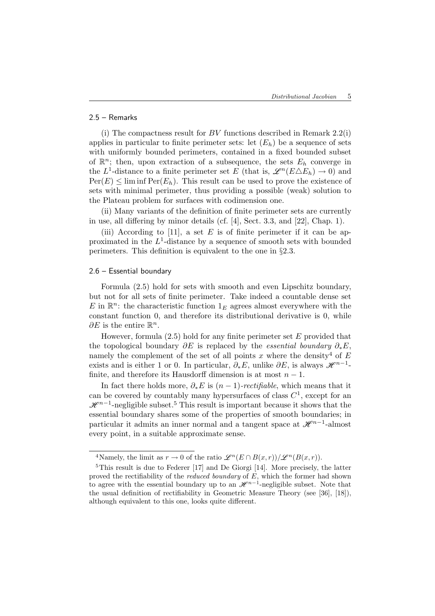# 2.5 – Remarks

(i) The compactness result for  $BV$  functions described in Remark 2.2(i) applies in particular to finite perimeter sets: let  $(E_h)$  be a sequence of sets with uniformly bounded perimeters, contained in a fixed bounded subset of  $\mathbb{R}^n$ ; then, upon extraction of a subsequence, the sets  $E_h$  converge in the L<sup>1</sup>-distance to a finite perimeter set E (that is,  $\mathscr{L}^n(E \triangle E_h) \to 0$ ) and  $Per(E) \leq \liminf Per(E_h)$ . This result can be used to prove the existence of sets with minimal perimeter, thus providing a possible (weak) solution to the Plateau problem for surfaces with codimension one.

(ii) Many variants of the definition of finite perimeter sets are currently in use, all differing by minor details (cf. [4], Sect. 3.3, and [22], Chap. 1).

(iii) According to [11], a set E is of finite perimeter if it can be approximated in the  $L^1$ -distance by a sequence of smooth sets with bounded perimeters. This definition is equivalent to the one in §2.3.

### 2.6 – Essential boundary

Formula (2.5) hold for sets with smooth and even Lipschitz boundary, but not for all sets of finite perimeter. Take indeed a countable dense set E in  $\mathbb{R}^n$ : the characteristic function  $1_E$  agrees almost everywhere with the constant function 0, and therefore its distributional derivative is 0, while  $\partial E$  is the entire  $\mathbb{R}^n$ .

However, formula  $(2.5)$  hold for any finite perimeter set E provided that the topological boundary  $\partial E$  is replaced by the *essential boundary*  $\partial_* E$ , namely the complement of the set of all points x where the density<sup>4</sup> of  $E$ exists and is either 1 or 0. In particular,  $\partial_* E$ , unlike  $\partial E$ , is always  $\mathscr{H}^{n-1}$ finite, and therefore its Hausdorff dimension is at most  $n - 1$ .

In fact there holds more,  $\partial_* E$  is  $(n-1)$ -rectifiable, which means that it can be covered by countably many hypersurfaces of class  $C^1$ , except for an  $\mathscr{H}^{n-1}$ -negligible subset.<sup>5</sup> This result is important because it shows that the essential boundary shares some of the properties of smooth boundaries; in particular it admits an inner normal and a tangent space at  $\mathscr{H}^{n-1}$ -almost every point, in a suitable approximate sense.

<sup>&</sup>lt;sup>4</sup>Namely, the limit as  $r \to 0$  of the ratio  $\mathscr{L}^n(E \cap B(x,r))/\mathscr{L}^n(B(x,r))$ .

<sup>5</sup>This result is due to Federer [17] and De Giorgi [14]. More precisely, the latter proved the rectifiability of the *reduced boundary* of  $E$ , which the former had shown to agree with the essential boundary up to an  $\mathscr{H}^{n-1}$ -negligible subset. Note that the usual definition of rectifiability in Geometric Measure Theory (see [36], [18]), although equivalent to this one, looks quite different.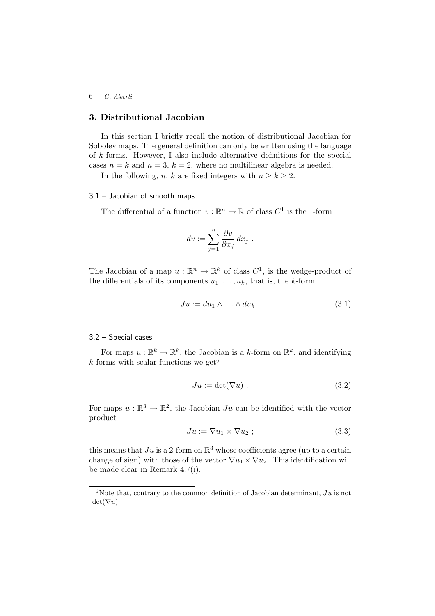# 3. Distributional Jacobian

In this section I briefly recall the notion of distributional Jacobian for Sobolev maps. The general definition can only be written using the language of k-forms. However, I also include alternative definitions for the special cases  $n = k$  and  $n = 3$ ,  $k = 2$ , where no multilinear algebra is needed.

In the following, n, k are fixed integers with  $n \geq k \geq 2$ .

## 3.1 – Jacobian of smooth maps

The differential of a function  $v : \mathbb{R}^n \to \mathbb{R}$  of class  $C^1$  is the 1-form

$$
dv := \sum_{j=1}^{n} \frac{\partial v}{\partial x_j} dx_j.
$$

The Jacobian of a map  $u : \mathbb{R}^n \to \mathbb{R}^k$  of class  $C^1$ , is the wedge-product of the differentials of its components  $u_1, \ldots, u_k$ , that is, the k-form

$$
Ju := du_1 \wedge \ldots \wedge du_k \ . \tag{3.1}
$$

3.2 – Special cases

For maps  $u : \mathbb{R}^k \to \mathbb{R}^k$ , the Jacobian is a k-form on  $\mathbb{R}^k$ , and identifying k-forms with scalar functions we get  $6$ 

$$
Ju := \det(\nabla u) . \tag{3.2}
$$

For maps  $u : \mathbb{R}^3 \to \mathbb{R}^2$ , the Jacobian Ju can be identified with the vector product

$$
Ju := \nabla u_1 \times \nabla u_2 ; \qquad (3.3)
$$

this means that  $Ju$  is a 2-form on  $\mathbb{R}^3$  whose coefficients agree (up to a certain change of sign) with those of the vector  $\nabla u_1 \times \nabla u_2$ . This identification will be made clear in Remark 4.7(i).

<sup>&</sup>lt;sup>6</sup>Note that, contrary to the common definition of Jacobian determinant,  $Ju$  is not  $|\det(\nabla u)|.$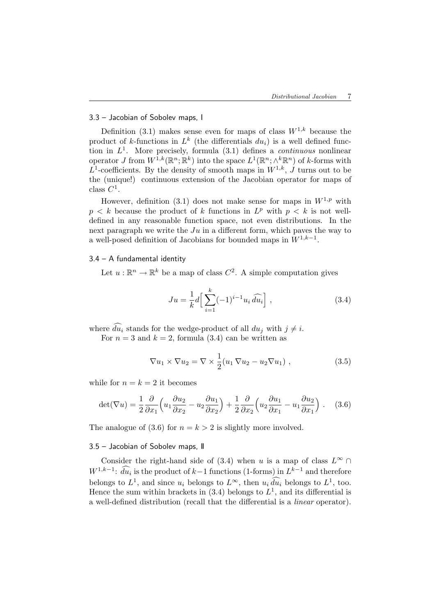# 3.3 – Jacobian of Sobolev maps, I

Definition (3.1) makes sense even for maps of class  $W^{1,k}$  because the product of k-functions in  $L^k$  (the differentials  $du_i$ ) is a well defined function in  $L^1$ . More precisely, formula (3.1) defines a *continuous* nonlinear operator J from  $W^{\overline{1},k}(\mathbb{R}^n;\mathbb{R}^k)$  into the space  $L^1(\mathbb{R}^n;\wedge^k \mathbb{R}^n)$  of k-forms with  $L^1$ -coefficients. By the density of smooth maps in  $W^{1,k}$ , J turns out to be the (unique!) continuous extension of the Jacobian operator for maps of class  $C^1$ .

However, definition (3.1) does not make sense for maps in  $W^{1,p}$  with  $p < k$  because the product of k functions in  $L^p$  with  $p < k$  is not welldefined in any reasonable function space, not even distributions. In the next paragraph we write the  $Ju$  in a different form, which paves the way to a well-posed definition of Jacobians for bounded maps in  $W^{1,k-1}$ .

### 3.4 – A fundamental identity

Let  $u : \mathbb{R}^n \to \mathbb{R}^k$  be a map of class  $C^2$ . A simple computation gives

$$
Ju = \frac{1}{k}d\left[\sum_{i=1}^{k}(-1)^{i-1}u_i\,\widehat{du}_i\right],\tag{3.4}
$$

where  $\widehat{du_i}$  stands for the wedge-product of all  $du_j$  with  $j \neq i$ .

For  $n = 3$  and  $k = 2$ , formula (3.4) can be written as

$$
\nabla u_1 \times \nabla u_2 = \nabla \times \frac{1}{2} (u_1 \nabla u_2 - u_2 \nabla u_1) , \qquad (3.5)
$$

while for  $n = k = 2$  it becomes

$$
\det(\nabla u) = \frac{1}{2} \frac{\partial}{\partial x_1} \left( u_1 \frac{\partial u_2}{\partial x_2} - u_2 \frac{\partial u_1}{\partial x_2} \right) + \frac{1}{2} \frac{\partial}{\partial x_2} \left( u_2 \frac{\partial u_1}{\partial x_1} - u_1 \frac{\partial u_2}{\partial x_1} \right) . \tag{3.6}
$$

The analogue of (3.6) for  $n = k > 2$  is slightly more involved.

#### 3.5 – Jacobian of Sobolev maps, II

Consider the right-hand side of (3.4) when u is a map of class  $L^{\infty} \cap$  $W^{1,k-1}$ :  $\tilde{d}u_i$  is the product of  $k-1$  functions (1-forms) in  $L^{k-1}$  and therefore belongs to  $L^1$ , and since  $u_i$  belongs to  $L^{\infty}$ , then  $u_i \hat{d}u_i$  belongs to  $L^1$ , too. Hence the sum within brackets in  $(3.4)$  belongs to  $L<sup>1</sup>$ , and its differential is a well-defined distribution (recall that the differential is a linear operator).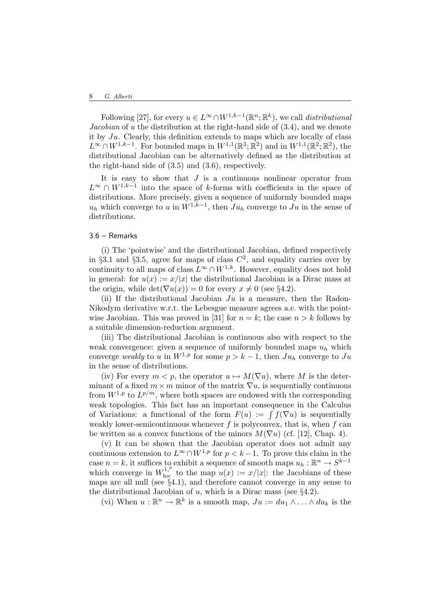Following [27], for every  $u \in L^{\infty} \cap W^{1,k-1}(\mathbb{R}^n;\mathbb{R}^k)$ , we call *distributional* Jacobian of u the distribution at the right-hand side of (3.4), and we denote it by  $Ju$ . Clearly, this definition extends to maps which are locally of class  $L^{\infty} \cap W^{1,k-1}$ . For bounded maps in  $W^{1,1}(\mathbb{R}^3; \mathbb{R}^2)$  and in  $W^{1,1}(\mathbb{R}^2; \mathbb{R}^2)$ , the distributional Jacobian can be alternatively defined as the distribution at the right-hand side of (3.5) and (3.6), respectively.

It is easy to show that  $J$  is a continuous nonlinear operator from  $L^{\infty} \cap W^{1,k-1}$  into the space of k-forms with coefficients in the space of distributions. More precisely, given a sequence of uniformly bounded maps  $u_h$  which converge to u in  $W^{1,k-1}$ , then  $Ju_h$  converge to  $Ju$  in the sense of distributions.

### 3.6 – Remarks

(i) The 'pointwise' and the distributional Jacobian, defined respectively in §3.1 and §3.5, agree for maps of class  $C^2$ , and equality carries over by continuity to all maps of class  $L^{\infty} \cap W^{1,k}$ . However, equality does not hold in general: for  $u(x) := x/|x|$  the distributional Jacobian is a Dirac mass at the origin, while  $\det(\nabla u(x)) = 0$  for every  $x \neq 0$  (see §4.2).

(ii) If the distributional Jacobian  $Ju$  is a measure, then the Radon-Nikodym derivative w.r.t. the Lebesgue measure agrees a.e. with the pointwise Jacobian. This was proved in [31] for  $n = k$ ; the case  $n > k$  follows by a suitable dimension-reduction argument.

(iii) The distributional Jacobian is continuous also with respect to the weak convergence: given a sequence of uniformly bounded maps  $u_h$  which converge weakly to u in  $W^{1,p}$  for some  $p > k - 1$ , then  $Ju<sub>h</sub>$  converge to  $Ju$ in the sense of distributions.

(iv) For every  $m < p$ , the operator  $u \mapsto M(\nabla u)$ , where M is the determinant of a fixed  $m \times m$  minor of the matrix  $\nabla u$ , is sequentially continuous from  $W^{1,p}$  to  $L^{p/m}$ , where both spaces are endowed with the corresponding weak topologies. This fact has an important consequence in the Calculus of Variations: a functional of the form  $F(u) := \int f(\nabla u)$  is sequentially weakly lower-semicontinuous whenever  $f$  is polyconvex, that is, when  $f$  can be written as a convex functions of the minors  $M(\nabla u)$  (cf. [12], Chap. 4).

(v) It can be shown that the Jacobian operator does not admit any continuous extension to  $L^{\infty} \cap W^{1,p}$  for  $p < k-1$ . To prove this claim in the case  $n = k$ , it suffices to exhibit a sequence of smooth maps  $u_h : \mathbb{R}^n \to S^{k-1}$ which converge in  $W_{\text{loc}}^{1,p}$  to the map  $u(x) := x/|x|$ : the Jacobians of these maps are all null (see §4.1), and therefore cannot converge in any sense to the distributional Jacobian of  $u$ , which is a Dirac mass (see §4.2).

(vi) When  $u : \mathbb{R}^n \to \mathbb{R}^k$  is a smooth map,  $Ju := du_1 \wedge \ldots \wedge du_k$  is the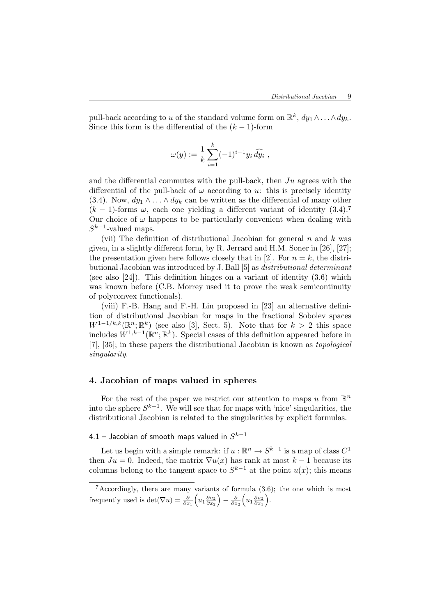pull-back according to u of the standard volume form on  $\mathbb{R}^k$ ,  $dy_1 \wedge \ldots \wedge dy_k$ . Since this form is the differential of the  $(k-1)$ -form

$$
\omega(y) := \frac{1}{k} \sum_{i=1}^{k} (-1)^{i-1} y_i \, \widehat{dy_i} \ ,
$$

and the differential commutes with the pull-back, then  $Ju$  agrees with the differential of the pull-back of  $\omega$  according to u: this is precisely identity (3.4). Now,  $dy_1 \wedge \ldots \wedge dy_k$  can be written as the differential of many other  $(k-1)$ -forms  $\omega$ , each one yielding a different variant of identity (3.4).<sup>7</sup> Our choice of  $\omega$  happens to be particularly convenient when dealing with  $S^{k-1}$ -valued maps.

(vii) The definition of distributional Jacobian for general  $n$  and  $k$  was given, in a slightly different form, by R. Jerrard and H.M. Soner in [26], [27]; the presentation given here follows closely that in [2]. For  $n = k$ , the distributional Jacobian was introduced by J. Ball [5] as distributional determinant (see also [24]). This definition hinges on a variant of identity (3.6) which was known before (C.B. Morrey used it to prove the weak semicontinuity of polyconvex functionals).

(viii) F.-B. Hang and F.-H. Lin proposed in [23] an alternative definition of distributional Jacobian for maps in the fractional Sobolev spaces  $W^{1-1/k,k}(\mathbb{R}^n;\mathbb{R}^k)$  (see also [3], Sect. 5). Note that for  $k > 2$  this space includes  $W^{1,k-1}(\mathbb{R}^n;\mathbb{R}^k)$ . Special cases of this definition appeared before in [7], [35]; in these papers the distributional Jacobian is known as topological singularity.

# 4. Jacobian of maps valued in spheres

For the rest of the paper we restrict our attention to maps u from  $\mathbb{R}^n$ into the sphere  $S^{k-1}$ . We will see that for maps with 'nice' singularities, the distributional Jacobian is related to the singularities by explicit formulas.

# 4.1 – Jacobian of smooth maps valued in  $S^{k-1}$

Let us begin with a simple remark: if  $u : \mathbb{R}^n \to S^{k-1}$  is a map of class  $C^1$ then  $Ju = 0$ . Indeed, the matrix  $\nabla u(x)$  has rank at most  $k-1$  because its columns belong to the tangent space to  $S^{k-1}$  at the point  $u(x)$ ; this means

<sup>7</sup>Accordingly, there are many variants of formula (3.6); the one which is most frequently used is  $\det(\nabla u) = \frac{\partial}{\partial x_1}$  $\left(u_1\frac{\partial u_2}{\partial x_2}\right)$  $-\frac{\partial}{\partial x_2}$  $\left(u_1\frac{\partial u_2}{\partial x_1}\right)$ ´ .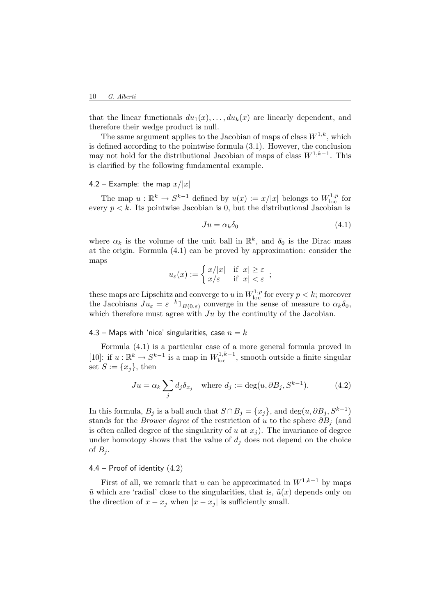that the linear functionals  $du_1(x), \ldots, du_k(x)$  are linearly dependent, and therefore their wedge product is null.

The same argument applies to the Jacobian of maps of class  $W^{1,k}$ , which is defined according to the pointwise formula (3.1). However, the conclusion may not hold for the distributional Jacobian of maps of class  $W^{1,k-1}$ . This is clarified by the following fundamental example.

### 4.2 – Example: the map  $x/|x|$

The map  $u : \mathbb{R}^k \to S^{k-1}$  defined by  $u(x) := x/|x|$  belongs to  $W^{1,p}_{\text{loc}}$  for every  $p < k$ . Its pointwise Jacobian is 0, but the distributional Jacobian is

$$
Ju = \alpha_k \delta_0 \tag{4.1}
$$

where  $\alpha_k$  is the volume of the unit ball in  $\mathbb{R}^k$ , and  $\delta_0$  is the Dirac mass at the origin. Formula (4.1) can be proved by approximation: consider the maps

$$
u_\varepsilon(x):=\left\{\begin{matrix}x/|x|&\text{if }|x|\geq \varepsilon\\x/\varepsilon&\text{if }|x|<\varepsilon\end{matrix}\right.,
$$

these maps are Lipschitz and converge to u in  $W^{1,p}_{loc}$  for every  $p < k$ ; moreover the Jacobians  $Ju_{\varepsilon} = \varepsilon^{-k} 1_{B(0,\varepsilon)}$  converge in the sense of measure to  $\alpha_k \delta_0$ , which therefore must agree with  $Ju$  by the continuity of the Jacobian.

### 4.3 – Maps with 'nice' singularities, case  $n = k$

Formula (4.1) is a particular case of a more general formula proved in [10]: if  $u : \mathbb{R}^k \to S^{k-1}$  is a map in  $W^{1,k-1}_{loc}$ , smooth outside a finite singular set  $S := \{x_i\}$ , then

$$
Ju = \alpha_k \sum_j d_j \delta_{x_j} \quad \text{where } d_j := \deg(u, \partial B_j, S^{k-1}). \tag{4.2}
$$

In this formula,  $B_j$  is a ball such that  $S \cap B_j = \{x_j\}$ , and  $\deg(u, \partial B_j, S^{k-1})$ stands for the *Brower degree* of the restriction of u to the sphere  $\partial B_i$  (and is often called degree of the singularity of u at  $x_j$ ). The invariance of degree under homotopy shows that the value of  $d_i$  does not depend on the choice of  $B_i$ .

## 4.4 – Proof of identity (4.2)

First of all, we remark that u can be approximated in  $W^{1,k-1}$  by maps  $\tilde{u}$  which are 'radial' close to the singularities, that is,  $\tilde{u}(x)$  depends only on the direction of  $x - x_j$  when  $|x - x_j|$  is sufficiently small.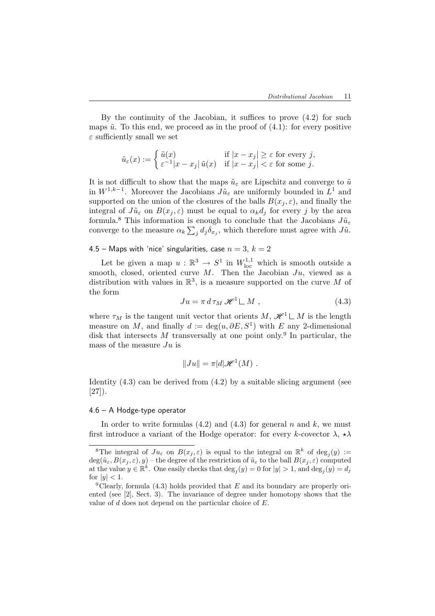By the continuity of the Jacobian, it suffices to prove (4.2) for such maps  $\tilde{u}$ . To this end, we proceed as in the proof of (4.1): for every positive  $\varepsilon$  sufficiently small we set

$$
\tilde{u}_\varepsilon(x):=\left\{\begin{matrix}\tilde{u}(x) & \text{if } |x-x_j|\geq \varepsilon \text{ for every }j,\\ \varepsilon^{-1}|x-x_j|\,\tilde{u}(x) & \text{if } |x-x_j|<\varepsilon \text{ for some }j.\end{matrix}\right.
$$

It is not difficult to show that the maps  $\tilde{u}_{\varepsilon}$  are Lipschitz and converge to  $\tilde{u}$ in  $W^{1,k-1}$ . Moreover the Jacobians  $J\tilde{u}_{\varepsilon}$  are uniformly bounded in  $L^1$  and supported on the union of the closures of the balls  $B(x_i, \varepsilon)$ , and finally the integral of  $J\tilde{u}_{\varepsilon}$  on  $B(x_j, \varepsilon)$  must be equal to  $\alpha_k d_j$  for every j by the area formula.<sup>8</sup> This information is enough to conclude that the Jacobians  $J\tilde{u}_{\varepsilon}$ converge to the measure  $\alpha_k \sum_j d_j \delta_{x_j}$ , which therefore must agree with  $J\tilde{u}$ .

4.5 – Maps with 'nice' singularities, case  $n = 3$ ,  $k = 2$ 

Let be given a map  $u : \mathbb{R}^3 \to S^1$  in  $W^{1,1}_{loc}$  which is smooth outside a smooth, closed, oriented curve  $M$ . Then the Jacobian  $Ju$ , viewed as a distribution with values in  $\mathbb{R}^3$ , is a measure supported on the curve M of the form

$$
Ju = \pi \, d \, \tau_M \, \mathcal{H}^1 \sqcup M \;, \tag{4.3}
$$

where  $\tau_M$  is the tangent unit vector that orients  $M, \mathscr{H}^1 \sqcup M$  is the length measure on M, and finally  $d := \deg(u, \partial E, S^1)$  with E any 2-dimensional disk that intersects M transversally at one point only.<sup>9</sup> In particular, the mass of the measure  $Ju$  is

$$
||Ju|| = \pi |d|\mathscr{H}^1(M) .
$$

Identity  $(4.3)$  can be derived from  $(4.2)$  by a suitable slicing argument (see [27]).

#### 4.6 – A Hodge-type operator

In order to write formulas  $(4.2)$  and  $(4.3)$  for general n and k, we must first introduce a variant of the Hodge operator: for every k-covector  $\lambda$ ,  $\star \lambda$ 

<sup>&</sup>lt;sup>8</sup>The integral of  $Ju_{\varepsilon}$  on  $B(x_j, \varepsilon)$  is equal to the integral on  $\mathbb{R}^k$  of  $\deg_j(y) :=$  $deg(\tilde{u}_{\varepsilon}, B(x_i, \varepsilon), y)$  – the degree of the restriction of  $\tilde{u}_{\varepsilon}$  to the ball  $B(x_i, \varepsilon)$  computed at the value  $y \in \mathbb{R}^k$ . One easily checks that  $\deg_j(y) = 0$  for  $|y| > 1$ , and  $\deg_j(y) = d_j$ for  $|y| < 1$ .

<sup>&</sup>lt;sup>9</sup>Clearly, formula (4.3) holds provided that  $E$  and its boundary are properly oriented (see [2], Sect. 3). The invariance of degree under homotopy shows that the value of d does not depend on the particular choice of E.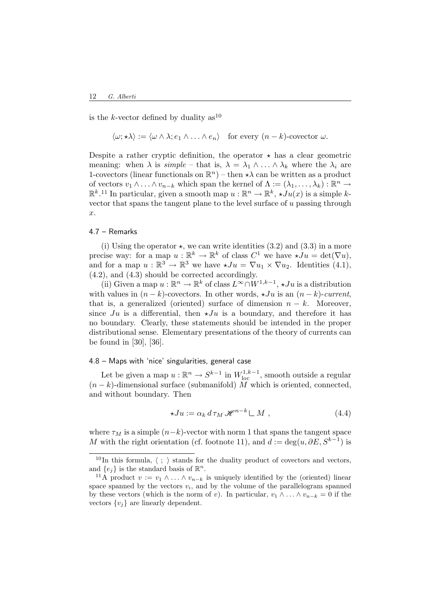is the k-vector defined by duality  $as^{10}$ 

 $\langle \omega; \star \lambda \rangle := \langle \omega \wedge \lambda; e_1 \wedge \ldots \wedge e_n \rangle$  for every  $(n - k)$ -covector  $\omega$ .

Despite a rather cryptic definition, the operator  $\star$  has a clear geometric meaning: when  $\lambda$  is simple – that is,  $\lambda = \lambda_1 \wedge ... \wedge \lambda_k$  where the  $\lambda_i$  are 1-covectors (linear functionals on  $\mathbb{R}^n$ ) – then  $\star\lambda$  can be written as a product of vectors  $v_1 \wedge \ldots \wedge v_{n-k}$  which span the kernel of  $\Lambda := (\lambda_1, \ldots, \lambda_k) : \mathbb{R}^n \to$  $\mathbb{R}^k$ .<sup>11</sup> In particular, given a smooth map  $u : \mathbb{R}^n \to \mathbb{R}^k$ ,  $\star Ju(x)$  is a simple kvector that spans the tangent plane to the level surface of u passing through x.

## 4.7 – Remarks

(i) Using the operator  $\star$ , we can write identities (3.2) and (3.3) in a more precise way: for a map  $u : \mathbb{R}^k \to \mathbb{R}^k$  of class  $C^1$  we have  $\star Ju = \det(\nabla u)$ , and for a map  $u : \mathbb{R}^3 \to \mathbb{R}^3$  we have  $\star Ju = \nabla u_1 \times \nabla u_2$ . Identities (4.1), (4.2), and (4.3) should be corrected accordingly.

(ii) Given a map  $u : \mathbb{R}^n \to \mathbb{R}^k$  of class  $L^{\infty} \cap W^{1,k-1}, \star Ju$  is a distribution with values in  $(n - k)$ -covectors. In other words,  $\star Ju$  is an  $(n - k)$ -current, that is, a generalized (oriented) surface of dimension  $n - k$ . Moreover, since Ju is a differential, then  $\star Ju$  is a boundary, and therefore it has no boundary. Clearly, these statements should be intended in the proper distributional sense. Elementary presentations of the theory of currents can be found in [30], [36].

### 4.8 – Maps with 'nice' singularities, general case

Let be given a map  $u : \mathbb{R}^n \to S^{k-1}$  in  $W^{1,k-1}_{loc}$ , smooth outside a regular  $(n-k)$ -dimensional surface (submanifold) M which is oriented, connected, and without boundary. Then

$$
\star Ju := \alpha_k d \tau_M \mathcal{H}^{n-k} \sqcup M , \qquad (4.4)
$$

where  $\tau_M$  is a simple  $(n-k)$ -vector with norm 1 that spans the tangent space M with the right orientation (cf. footnote 11), and  $d := \deg(u, \partial E, S^{k-1})$  is

<sup>&</sup>lt;sup>10</sup>In this formula,  $\langle ; \rangle$  stands for the duality product of covectors and vectors, and  $\{e_j\}$  is the standard basis of  $\mathbb{R}^n$ .

<sup>&</sup>lt;sup>11</sup>A product  $v := v_1 \wedge \ldots \wedge v_{n-k}$  is uniquely identified by the (oriented) linear space spanned by the vectors  $v_i$ , and by the volume of the parallelogram spanned by these vectors (which is the norm of v). In particular,  $v_1 \wedge \ldots \wedge v_{n-k} = 0$  if the vectors  $\{v_i\}$  are linearly dependent.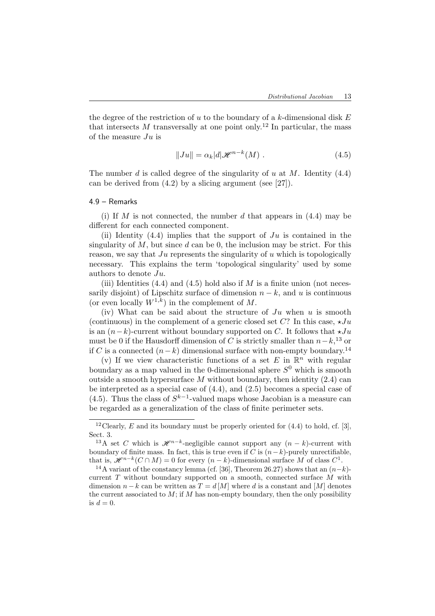the degree of the restriction of  $u$  to the boundary of a  $k$ -dimensional disk  $E$ that intersects M transversally at one point only.<sup>12</sup> In particular, the mass of the measure  $Ju$  is

$$
||Ju|| = \alpha_k |d|\mathcal{H}^{n-k}(M).
$$
\n(4.5)

The number d is called degree of the singularity of u at M. Identity  $(4.4)$ can be derived from (4.2) by a slicing argument (see [27]).

### 4.9 – Remarks

(i) If M is not connected, the number d that appears in  $(4.4)$  may be different for each connected component.

(ii) Identity  $(4.4)$  implies that the support of  $Ju$  is contained in the singularity of  $M$ , but since  $d$  can be 0, the inclusion may be strict. For this reason, we say that  $Ju$  represents the singularity of u which is topologically necessary. This explains the term 'topological singularity' used by some authors to denote Ju.

(iii) Identities  $(4.4)$  and  $(4.5)$  hold also if M is a finite union (not necessarily disjoint) of Lipschitz surface of dimension  $n - k$ , and u is continuous (or even locally  $W^{1,k}$ ) in the complement of M.

(iv) What can be said about the structure of  $Ju$  when u is smooth (continuous) in the complement of a generic closed set C? In this case,  $\star Ju$ is an  $(n-k)$ -current without boundary supported on C. It follows that  $\star Ju$ must be 0 if the Hausdorff dimension of C is strictly smaller than  $n-k$ <sup>13</sup> or if C is a connected  $(n-k)$  dimensional surface with non-empty boundary.<sup>14</sup>

(v) If we view characteristic functions of a set E in  $\mathbb{R}^n$  with regular boundary as a map valued in the 0-dimensional sphere  $S^0$  which is smooth outside a smooth hypersurface  $M$  without boundary, then identity  $(2.4)$  can be interpreted as a special case of (4.4), and (2.5) becomes a special case of (4.5). Thus the class of  $S^{k-1}$ -valued maps whose Jacobian is a measure can be regarded as a generalization of the class of finite perimeter sets.

<sup>&</sup>lt;sup>12</sup> Clearly, E and its boundary must be properly oriented for  $(4.4)$  to hold, cf. [3], Sect. 3.

<sup>&</sup>lt;sup>13</sup>A set C which is  $\mathscr{H}^{n-k}$ -negligible cannot support any  $(n-k)$ -current with boundary of finite mass. In fact, this is true even if C is  $(n-k)$ -purely unrectifiable, that is,  $\mathscr{H}^{n-k}(C \cap M) = 0$  for every  $(n-k)$ -dimensional surface M of class  $C^1$ .

<sup>&</sup>lt;sup>14</sup>A variant of the constancy lemma (cf. [36], Theorem 26.27) shows that an  $(n-k)$ current T without boundary supported on a smooth, connected surface M with dimension  $n - k$  can be written as  $T = d|M|$  where d is a constant and  $|M|$  denotes the current associated to  $M$ ; if  $M$  has non-empty boundary, then the only possibility is  $d = 0$ .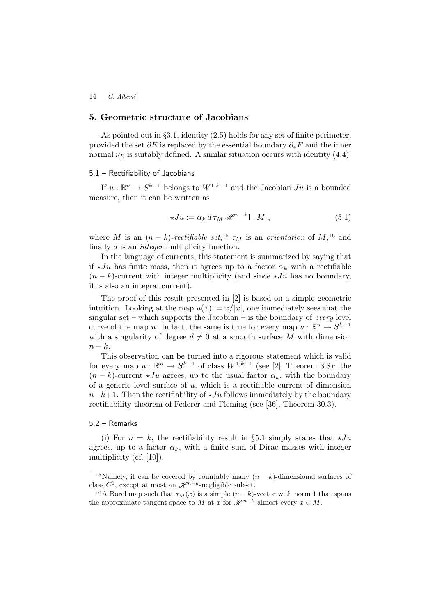# 5. Geometric structure of Jacobians

As pointed out in  $\S 3.1$ , identity  $(2.5)$  holds for any set of finite perimeter. provided the set  $\partial E$  is replaced by the essential boundary  $\partial_* E$  and the inner normal  $\nu_E$  is suitably defined. A similar situation occurs with identity (4.4):

#### 5.1 – Rectifiability of Jacobians

If  $u: \mathbb{R}^n \to S^{k-1}$  belongs to  $W^{1,k-1}$  and the Jacobian  $Ju$  is a bounded measure, then it can be written as

$$
\star Ju := \alpha_k d \tau_M \mathcal{H}^{n-k} \sqcup M , \qquad (5.1)
$$

where M is an  $(n-k)$ -rectifiable set,<sup>15</sup>  $\tau_M$  is an orientation of M,<sup>16</sup> and finally d is an integer multiplicity function.

In the language of currents, this statement is summarized by saying that if  $\star Ju$  has finite mass, then it agrees up to a factor  $\alpha_k$  with a rectifiable  $(n - k)$ -current with integer multiplicity (and since  $\star Ju$  has no boundary, it is also an integral current).

The proof of this result presented in [2] is based on a simple geometric intuition. Looking at the map  $u(x) := x/|x|$ , one immediately sees that the singular set – which supports the Jacobian – is the boundary of every level curve of the map u. In fact, the same is true for every map  $u : \mathbb{R}^n \to S^{k-1}$ with a singularity of degree  $d \neq 0$  at a smooth surface M with dimension  $n-k$ .

This observation can be turned into a rigorous statement which is valid for every map  $u : \mathbb{R}^n \to S^{k-1}$  of class  $W^{1,k-1}$  (see [2], Theorem 3.8): the  $(n - k)$ -current  $\star Ju$  agrees, up to the usual factor  $\alpha_k$ , with the boundary of a generic level surface of  $u$ , which is a rectifiable current of dimension  $n-k+1$ . Then the rectifiability of  $\star Ju$  follows immediately by the boundary rectifiability theorem of Federer and Fleming (see [36], Theorem 30.3).

#### 5.2 – Remarks

(i) For  $n = k$ , the rectifiability result in §5.1 simply states that  $\star Ju$ agrees, up to a factor  $\alpha_k$ , with a finite sum of Dirac masses with integer multiplicity (cf. [10]).

<sup>&</sup>lt;sup>15</sup>Namely, it can be covered by countably many  $(n - k)$ -dimensional surfaces of class  $C^1$ , except at most an  $\mathscr{H}^{n-k}$ -negligible subset.

<sup>&</sup>lt;sup>16</sup>A Borel map such that  $\tau_M(x)$  is a simple  $(n-k)$ -vector with norm 1 that spans the approximate tangent space to M at x for  $\mathscr{H}^{n-k}$ -almost every  $x \in M$ .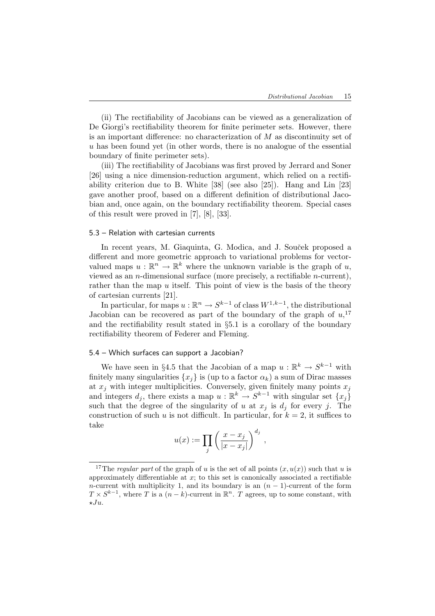(ii) The rectifiability of Jacobians can be viewed as a generalization of De Giorgi's rectifiability theorem for finite perimeter sets. However, there is an important difference: no characterization of M as discontinuity set of u has been found yet (in other words, there is no analogue of the essential boundary of finite perimeter sets).

(iii) The rectifiability of Jacobians was first proved by Jerrard and Soner [26] using a nice dimension-reduction argument, which relied on a rectifiability criterion due to B. White [38] (see also [25]). Hang and Lin [23] gave another proof, based on a different definition of distributional Jacobian and, once again, on the boundary rectifiability theorem. Special cases of this result were proved in [7], [8], [33].

### 5.3 – Relation with cartesian currents

In recent years, M. Giaquinta, G. Modica, and J. Souček proposed a different and more geometric approach to variational problems for vectorvalued maps  $u : \mathbb{R}^n \to \mathbb{R}^k$  where the unknown variable is the graph of u, viewed as an *n*-dimensional surface (more precisely, a rectifiable *n*-current), rather than the map  $u$  itself. This point of view is the basis of the theory of cartesian currents [21].

In particular, for maps  $u : \mathbb{R}^n \to S^{k-1}$  of class  $W^{1,k-1}$ , the distributional Jacobian can be recovered as part of the boundary of the graph of  $u$ <sup>17</sup>, and the rectifiability result stated in §5.1 is a corollary of the boundary rectifiability theorem of Federer and Fleming.

#### 5.4 – Which surfaces can support a Jacobian?

We have seen in §4.5 that the Jacobian of a map  $u : \mathbb{R}^k \to S^{k-1}$  with finitely many singularities  $\{x_i\}$  is (up to a factor  $\alpha_k$ ) a sum of Dirac masses at  $x_j$  with integer multiplicities. Conversely, given finitely many points  $x_j$ and integers  $d_j$ , there exists a map  $u : \mathbb{R}^k \to S^{k-1}$  with singular set  $\{x_j\}$ such that the degree of the singularity of u at  $x_j$  is  $d_j$  for every j. The construction of such u is not difficult. In particular, for  $k = 2$ , it suffices to take

$$
u(x) := \prod_j \left(\frac{x - x_j}{|x - x_j|}\right)^{d_j},
$$

<sup>&</sup>lt;sup>17</sup>The regular part of the graph of u is the set of all points  $(x, u(x))$  such that u is approximately differentiable at  $x$ ; to this set is canonically associated a rectifiable n-current with multiplicity 1, and its boundary is an  $(n - 1)$ -current of the form  $T \times S^{k-1}$ , where T is a  $(n-k)$ -current in  $\mathbb{R}^n$ . T agrees, up to some constant, with  $\star Ju.$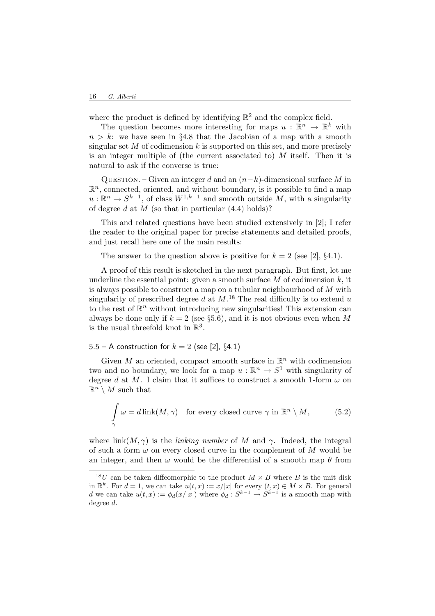where the product is defined by identifying  $\mathbb{R}^2$  and the complex field.

The question becomes more interesting for maps  $u : \mathbb{R}^n \to \mathbb{R}^k$  with  $n > k$ : we have seen in §4.8 that the Jacobian of a map with a smooth singular set  $M$  of codimension k is supported on this set, and more precisely is an integer multiple of (the current associated to) M itself. Then it is natural to ask if the converse is true:

QUESTION. – Given an integer d and an  $(n-k)$ -dimensional surface M in  $\mathbb{R}^n$ , connected, oriented, and without boundary, is it possible to find a map  $u: \mathbb{R}^n \to S^{k-1}$ , of class  $W^{1,k-1}$  and smooth outside M, with a singularity of degree d at  $M$  (so that in particular  $(4.4)$  holds)?

This and related questions have been studied extensively in [2]; I refer the reader to the original paper for precise statements and detailed proofs, and just recall here one of the main results:

The answer to the question above is positive for  $k = 2$  (see [2], §4.1).

A proof of this result is sketched in the next paragraph. But first, let me underline the essential point: given a smooth surface  $M$  of codimension  $k$ , it is always possible to construct a map on a tubular neighbourhood of M with singularity of prescribed degree d at  $M$ .<sup>18</sup> The real difficulty is to extend u to the rest of  $\mathbb{R}^n$  without introducing new singularities! This extension can always be done only if  $k = 2$  (see §5.6), and it is not obvious even when M is the usual threefold knot in  $\mathbb{R}^3$ .

5.5 – A construction for  $k = 2$  (see [2], §4.1)

Given  $M$  an oriented, compact smooth surface in  $\mathbb{R}^n$  with codimension two and no boundary, we look for a map  $u : \mathbb{R}^n \to S^1$  with singularity of degree d at M. I claim that it suffices to construct a smooth 1-form  $\omega$  on  $\mathbb{R}^n \setminus M$  such that

$$
\int_{\gamma} \omega = d \operatorname{link}(M, \gamma) \quad \text{for every closed curve } \gamma \text{ in } \mathbb{R}^n \setminus M,
$$
 (5.2)

where link $(M, \gamma)$  is the *linking number* of M and  $\gamma$ . Indeed, the integral of such a form  $\omega$  on every closed curve in the complement of M would be an integer, and then  $\omega$  would be the differential of a smooth map  $\theta$  from

<sup>&</sup>lt;sup>18</sup>U can be taken diffeomorphic to the product  $M \times B$  where B is the unit disk in  $\mathbb{R}^k$ . For  $d = 1$ , we can take  $u(t, x) := x/|x|$  for every  $(t, x) \in M \times B$ . For general d we can take  $u(t,x) := \phi_d(x/|x|)$  where  $\phi_d : S^{k-1} \to S^{k-1}$  is a smooth map with degree d.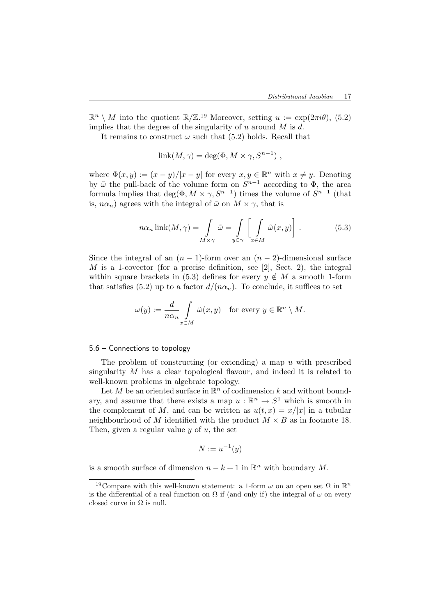$\mathbb{R}^n \setminus M$  into the quotient  $\mathbb{R}/\mathbb{Z}^{19}$  Moreover, setting  $u := \exp(2\pi i \theta)$ , (5.2) implies that the degree of the singularity of u around  $M$  is d.

It remains to construct  $\omega$  such that (5.2) holds. Recall that

$$
link(M, \gamma) = deg(\Phi, M \times \gamma, S^{n-1}),
$$

where  $\Phi(x, y) := (x - y)/|x - y|$  for every  $x, y \in \mathbb{R}^n$  with  $x \neq y$ . Denoting by  $\tilde{\omega}$  the pull-back of the volume form on  $S^{n-1}$  according to  $\Phi$ , the area formula implies that  $\deg(\Phi, M \times \gamma, S^{n-1})$  times the volume of  $S^{n-1}$  (that is,  $n\alpha_n$ ) agrees with the integral of  $\tilde{\omega}$  on  $M \times \gamma$ , that is

$$
n\alpha_n \operatorname{link}(M, \gamma) = \int_{M \times \gamma} \tilde{\omega} = \int_{y \in \gamma} \left[ \int_{x \in M} \tilde{\omega}(x, y) \right]. \tag{5.3}
$$

Since the integral of an  $(n-1)$ -form over an  $(n-2)$ -dimensional surface  $M$  is a 1-covector (for a precise definition, see [2], Sect. 2), the integral within square brackets in (5.3) defines for every  $y \notin M$  a smooth 1-form that satisfies (5.2) up to a factor  $d/(n\alpha_n)$ . To conclude, it suffices to set

$$
\omega(y) := \frac{d}{n\alpha_n} \int\limits_{x \in M} \tilde{\omega}(x, y) \quad \text{for every } y \in \mathbb{R}^n \setminus M.
$$

### 5.6 – Connections to topology

The problem of constructing (or extending) a map  $u$  with prescribed singularity M has a clear topological flavour, and indeed it is related to well-known problems in algebraic topology.

Let M be an oriented surface in  $\mathbb{R}^n$  of codimension k and without boundary, and assume that there exists a map  $u : \mathbb{R}^n \to S^1$  which is smooth in the complement of M, and can be written as  $u(t, x) = x/|x|$  in a tubular neighbourhood of M identified with the product  $M \times B$  as in footnote 18. Then, given a regular value  $y$  of  $u$ , the set

$$
N := u^{-1}(y)
$$

is a smooth surface of dimension  $n - k + 1$  in  $\mathbb{R}^n$  with boundary M.

<sup>&</sup>lt;sup>19</sup>Compare with this well-known statement: a 1-form  $\omega$  on an open set  $\Omega$  in  $\mathbb{R}^n$ is the differential of a real function on  $\Omega$  if (and only if) the integral of  $\omega$  on every closed curve in  $\Omega$  is null.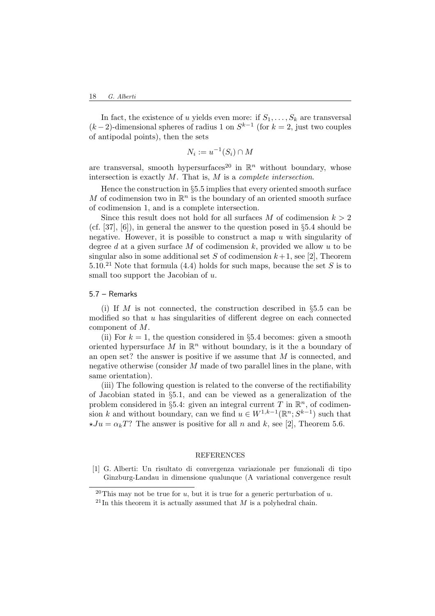In fact, the existence of u yields even more: if  $S_1, \ldots, S_k$  are transversal  $(k-2)$ -dimensional spheres of radius 1 on  $S^{k-1}$  (for  $k=2$ , just two couples of antipodal points), then the sets

$$
N_i := u^{-1}(S_i) \cap M
$$

are transversal, smooth hypersurfaces<sup>20</sup> in  $\mathbb{R}^n$  without boundary, whose intersection is exactly  $M$ . That is,  $M$  is a *complete intersection*.

Hence the construction in §5.5 implies that every oriented smooth surface M of codimension two in  $\mathbb{R}^n$  is the boundary of an oriented smooth surface of codimension 1, and is a complete intersection.

Since this result does not hold for all surfaces M of codimension  $k > 2$ (cf. [37], [6]), in general the answer to the question posed in §5.4 should be negative. However, it is possible to construct a map  $u$  with singularity of degree d at a given surface M of codimension  $k$ , provided we allow u to be singular also in some additional set S of codimension  $k+1$ , see [2], Theorem 5.10.<sup>21</sup> Note that formula (4.4) holds for such maps, because the set S is to small too support the Jacobian of  $u$ .

### 5.7 – Remarks

(i) If M is not connected, the construction described in  $\S 5.5$  can be modified so that  $u$  has singularities of different degree on each connected component of M.

(ii) For  $k = 1$ , the question considered in §5.4 becomes: given a smooth oriented hypersurface  $M$  in  $\mathbb{R}^n$  without boundary, is it the a boundary of an open set? the answer is positive if we assume that M is connected, and negative otherwise (consider M made of two parallel lines in the plane, with same orientation).

(iii) The following question is related to the converse of the rectifiability of Jacobian stated in §5.1, and can be viewed as a generalization of the problem considered in §5.4: given an integral current T in  $\mathbb{R}^n$ , of codimension k and without boundary, can we find  $u \in W^{1,k-1}(\mathbb{R}^n; S^{k-1})$  such that  $\star Ju = \alpha_k T$ ? The answer is positive for all n and k, see [2], Theorem 5.6.

#### REFERENCES

[1] G. Alberti: Un risultato di convergenza variazionale per funzionali di tipo Ginzburg-Landau in dimensione qualunque (A variational convergence result

<sup>&</sup>lt;sup>20</sup>This may not be true for u, but it is true for a generic perturbation of u.

 $^{21}$ In this theorem it is actually assumed that M is a polyhedral chain.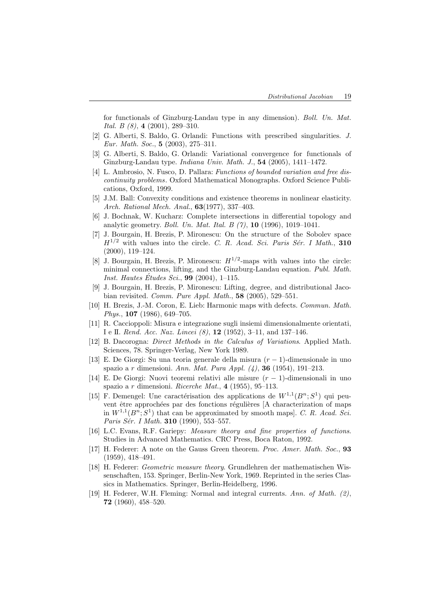for functionals of Ginzburg-Landau type in any dimension). Boll. Un. Mat. Ital. B (8), 4 (2001), 289–310.

- [2] G. Alberti, S. Baldo, G. Orlandi: Functions with prescribed singularities. J. Eur. Math. Soc., 5 (2003), 275–311.
- [3] G. Alberti, S. Baldo, G. Orlandi: Variational convergence for functionals of Ginzburg-Landau type. Indiana Univ. Math. J., 54 (2005), 1411–1472.
- [4] L. Ambrosio, N. Fusco, D. Pallara: Functions of bounded variation and free discontinuity problems. Oxford Mathematical Monographs. Oxford Science Publications, Oxford, 1999.
- [5] J.M. Ball: Convexity conditions and existence theorems in nonlinear elasticity. Arch. Rational Mech. Anal., 63(1977), 337–403.
- [6] J. Bochnak, W. Kucharz: Complete intersections in differential topology and analytic geometry. Boll. Un. Mat. Ital. B (7), 10 (1996), 1019–1041.
- [7] J. Bourgain, H. Brezis, P. Mironescu: On the structure of the Sobolev space  $H^{1/2}$  with values into the circle. C. R. Acad. Sci. Paris Sér. I Math., 310 (2000), 119–124.
- [8] J. Bourgain, H. Brezis, P. Mironescu:  $H^{1/2}$ -maps with values into the circle: minimal connections, lifting, and the Ginzburg-Landau equation. Publ. Math. *Inst. Hautes Études Sci.*, **99** (2004), 1–115.
- [9] J. Bourgain, H. Brezis, P. Mironescu: Lifting, degree, and distributional Jacobian revisited. Comm. Pure Appl. Math., 58 (2005), 529–551.
- [10] H. Brezis, J.-M. Coron, E. Lieb: Harmonic maps with defects. Commun. Math. Phys., 107 (1986), 649–705.
- [11] R. Caccioppoli: Misura e integrazione sugli insiemi dimensionalmente orientati, I e II. Rend. Acc. Naz. Lincei (8), 12 (1952), 3–11, and 137–146.
- [12] B. Dacorogna: Direct Methods in the Calculus of Variations. Applied Math. Sciences, 78. Springer-Verlag, New York 1989.
- [13] E. De Giorgi: Su una teoria generale della misura  $(r-1)$ -dimensionale in uno spazio a r dimensioni. Ann. Mat. Pura Appl.  $(4)$ , **36** (1954), 191–213.
- [14] E. De Giorgi: Nuovi teoremi relativi alle misure  $(r 1)$ -dimensionali in uno spazio a r dimensioni. Ricerche Mat., 4 (1955), 95–113.
- [15] F. Demengel: Une caractérisation des applications de  $W^{1,1}(B^n;S^1)$  qui peuvent être approchées par des fonctions régulières [A characterization of maps in  $W^{1,1}(B^n; S^1)$  that can be approximated by smooth maps]. C. R. Acad. Sci. Paris Sér. I Math. 310 (1990), 553-557.
- [16] L.C. Evans, R.F. Gariepy: Measure theory and fine properties of functions. Studies in Advanced Mathematics. CRC Press, Boca Raton, 1992.
- [17] H. Federer: A note on the Gauss Green theorem. Proc. Amer. Math. Soc., 93 (1959), 418–491.
- [18] H. Federer: Geometric measure theory. Grundlehren der mathematischen Wissenschaften, 153. Springer, Berlin-New York, 1969. Reprinted in the series Classics in Mathematics. Springer, Berlin-Heidelberg, 1996.
- [19] H. Federer, W.H. Fleming: Normal and integral currents. Ann. of Math. (2), 72 (1960), 458–520.